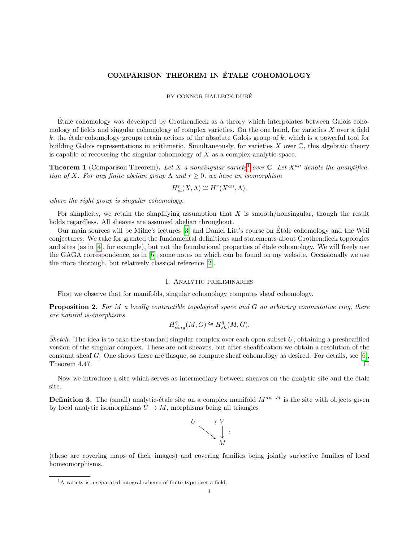# COMPARISON THEOREM IN ETALE COHOMOLOGY ´

#### BY CONNOR HALLECK-DUBE´

Etale cohomology was developed by Grothendieck as a theory which interpolates between Galois coho- ´ mology of fields and singular cohomology of complex varieties. On the one hand, for varieties  $X$  over a field  $k$ , the étale cohomology groups retain actions of the absolute Galois group of  $k$ , which is a powerful tool for building Galois representations in arithmetic. Simultaneously, for varieties  $X$  over  $\mathbb{C}$ , this algebraic theory is capable of recovering the singular cohomology of  $X$  as a complex-analytic space.

**Theorem [1](#page-0-0)** (Comparison Theorem). Let X a nonsingular variety<sup>1</sup> over  $\mathbb{C}$ . Let X<sup>an</sup> denote the analytification of X. For any finite abelian group  $\Lambda$  and  $r > 0$ , we have an isomorphism

$$
H_{\acute{e}t}^{r}(X,\Lambda )\cong H^{r}(X^{an},\Lambda ).
$$

where the right group is singular cohomology.

For simplicity, we retain the simplifying assumption that  $X$  is smooth/nonsingular, though the result holds regardless. All sheaves are assumed abelian throughout.

Our main sources will be Milne's lectures [\[3\]](#page-5-0) and Daniel Litt's course on Etale cohomology and the Weil ´ conjectures. We take for granted the fundamental definitions and statements about Grothendieck topologies and sites (as in [\[4\]](#page-5-1), for example), but not the foundational properties of étale cohomology. We will freely use the GAGA correspondence, as in [\[5\]](#page-5-2), some notes on which can be found on my website. Occasionally we use the more thorough, but relatively classical reference [\[2\]](#page-5-3).

## I. Analytic preliminaries

First we observe that for manifolds, singular cohomology computes sheaf cohomology.

**Proposition 2.** For M a locally contractible topological space and G an arbitrary commutative ring, there are natural isomorphisms

$$
H_{sing}^{q}(M, G) \cong H_{sh}^{q}(M, \underline{G}).
$$

Sketch. The idea is to take the standard singular complex over each open subset  $U$ , obtaining a presheafified version of the singular complex. These are not sheaves, but after sheafification we obtain a resolution of the constant sheaf G. One shows these are flasque, so compute sheaf cohomology as desired. For details, see [\[6\]](#page-5-4), Theorem 4.47.  $\Box$ 

Now we introduce a site which serves as intermediary between sheaves on the analytic site and the étale site.

**Definition 3.** The (small) analytic-étale site on a complex manifold  $M^{an-\'et}$  is the site with objects given by local analytic isomorphisms  $U \to M$ , morphisms being all triangles



(these are covering maps of their images) and covering families being jointly surjective families of local homeomorphisms.

<span id="page-0-0"></span><sup>1</sup>A variety is a separated integral scheme of finite type over a field.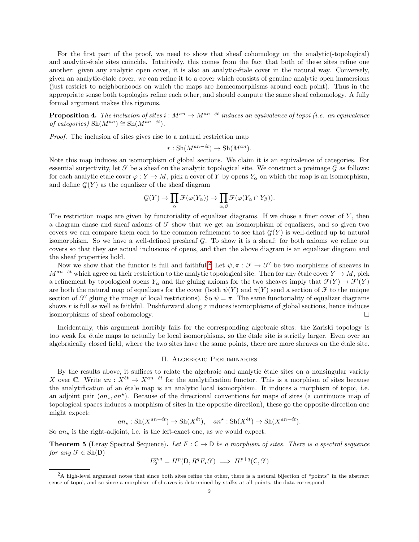For the first part of the proof, we need to show that sheaf cohomology on the analytic(-topological) and analytic-étale sites coincide. Intuitively, this comes from the fact that both of these sites refine one another: given any analytic open cover, it is also an analytic-étale cover in the natural way. Conversely, given an analytic-étale cover, we can refine it to a cover which consists of genuine analytic open immersions (just restrict to neighborhoods on which the maps are homeomorphisms around each point). Thus in the appropriate sense both topologies refine each other, and should compute the same sheaf cohomology. A fully formal argument makes this rigorous.

**Proposition 4.** The inclusion of sites  $i : M^{an} \to M^{an-\acute{e}t}$  induces an equivalence of topoi (i.e. an equivalence of categories) Sh( $M^{an}$ ) ≅ Sh( $M^{an-ét}$ ).

Proof. The inclusion of sites gives rise to a natural restriction map

$$
r: \mathrm{Sh}(M^{an-\'et}) \to \mathrm{Sh}(M^{an}).
$$

Note this map induces an isomorphism of global sections. We claim it is an equivalence of categories. For essential surjectivity, let  $\mathcal F$  be a sheaf on the analytic topological site. We construct a preimage  $\mathcal G$  as follows: for each analytic etale cover  $\varphi: Y \to M$ , pick a cover of Y by opens  $Y_\alpha$  on which the map is an isomorphism, and define  $\mathcal{G}(Y)$  as the equalizer of the sheaf diagram

$$
\mathcal{G}(Y) \to \prod_{\alpha} \mathcal{F}(\varphi(Y_{\alpha})) \to \prod_{\alpha,\beta} \mathcal{F}(\varphi(Y_{\alpha} \cap Y_{\beta})).
$$

The restriction maps are given by functoriality of equalizer diagrams. If we chose a finer cover of  $Y$ , then a diagram chase and sheaf axioms of  $\mathcal F$  show that we get an isomorphism of equalizers, and so given two covers we can compare them each to the common refinement to see that  $\mathcal{G}(Y)$  is well-defined up to natural isomorphism. So we have a well-defined presheaf  $\mathcal{G}$ . To show it is a sheaf: for both axioms we refine our covers so that they are actual inclusions of opens, and then the above diagram is an equalizer diagram and the sheaf properties hold.

Now we show that the functor is full and faithful.<sup>[2](#page-1-0)</sup> Let  $\psi, \pi : \mathcal{F} \to \mathcal{F}'$  be two morphisms of sheaves in  $M^{an-\'et}$  which agree on their restriction to the analytic topological site. Then for any étale cover  $Y \to M$ , pick a refinement by topological opens  $Y_\alpha$  and the gluing axioms for the two sheaves imply that  $\mathcal{F}(Y) \to \mathcal{F}'(Y)$ are both the natural map of equalizers for the cover (both  $\psi(Y)$  and  $\pi(Y)$  send a section of  $\mathcal F$  to the unique section of  $\mathcal{F}'$  gluing the image of local restrictions). So  $\psi = \pi$ . The same functoriality of equalizer diagrams shows r is full as well as faithful. Pushforward along r induces isomorphisms of global sections, hence induces isomorphisms of sheaf cohomology. □

Incidentally, this argument horribly fails for the corresponding algebraic sites: the Zariski topology is too weak for étale maps to actually be local isomorphisms, so the étale site is strictly larger. Even over an algebraically closed field, where the two sites have the same points, there are more sheaves on the étale site.

## II. Algebraic Preliminaries

By the results above, it suffices to relate the algebraic and analytic étale sites on a nonsingular variety X over C. Write  $an: X^{\text{\'et}} \to X^{an-\'et}$  for the analytification functor. This is a morphism of sites because the analytification of an étale map is an analytic local isomorphism. It induces a morphism of topoi, i.e. an adjoint pair  $(an_\star, an^\star)$ . Because of the directional conventions for maps of sites (a continuous map of topological spaces induces a morphism of sites in the opposite direction), these go the opposite direction one might expect:

$$
an_{\star}: \operatorname{Sh}(X^{an-\'et}) \to \operatorname{Sh}(X^{\text{\'et}}), \quad an^{\star}: \operatorname{Sh}(X^{\text{\'et}}) \to \operatorname{Sh}(X^{an-\'et}).
$$

So  $an_{\star}$  is the right-adjoint, i.e. is the left-exact one, as we would expect.

**Theorem 5** (Leray Spectral Sequence). Let  $F : C \to D$  be a morphism of sites. There is a spectral sequence for any  $\mathcal{F} \in Sh(D)$ 

$$
E_2^{p,q} = H^p(\mathsf{D}, R^q F_\star \mathcal{F}) \implies H^{p+q}(\mathsf{C}, \mathcal{F})
$$

<span id="page-1-0"></span> $2A$  high-level argument notes that since both sites refine the other, there is a natural bijection of "points" in the abstract sense of topoi, and so since a morphism of sheaves is determined by stalks at all points, the data correspond.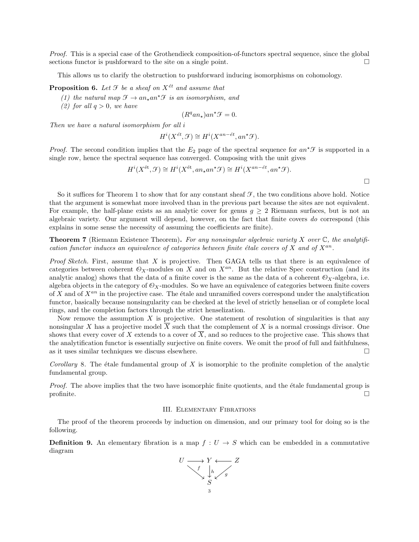Proof. This is a special case of the Grothendieck composition-of-functors spectral sequence, since the global sections functor is pushforward to the site on a single point.  $\Box$ 

This allows us to clarify the obstruction to pushforward inducing isomorphisms on cohomology.

**Proposition 6.** Let  $\mathcal F$  be a sheaf on  $X^{\acute{e}t}$  and assume that

- (1) the natural map  $\mathcal{F} \to an_{\star}an^{\star}\mathcal{F}$  is an isomorphism, and
- (2) for all  $q > 0$ , we have

$$
(R^q a n_\star) a n^\star \mathcal{F} = 0.
$$

Then we have a natural isomorphism for all i

$$
H^i(X^{\acute{e}t}, \mathcal{F}) \cong H^i(X^{an- \acute{e}t}, an^{\star}\mathcal{F}).
$$

*Proof.* The second condition implies that the  $E_2$  page of the spectral sequence for  $an^*\mathcal{F}$  is supported in a single row, hence the spectral sequence has converged. Composing with the unit gives

$$
H^{i}(X^{\text{\'et}}, \mathcal{F}) \cong H^{i}(X^{\text{\'et}}, an_{\star}an^{\star} \mathcal{F}) \cong H^{i}(X^{an- \text{\'et}}, an^{\star} \mathcal{F}).
$$

So it suffices for Theorem 1 to show that for any constant sheaf  $\mathcal{F}$ , the two conditions above hold. Notice that the argument is somewhat more involved than in the previous part because the sites are not equivalent. For example, the half-plane exists as an analytic cover for genus  $g \geq 2$  Riemann surfaces, but is not an algebraic variety. Our argument will depend, however, on the fact that finite covers do correspond (this explains in some sense the necessity of assuming the coefficients are finite).

**Theorem 7** (Riemann Existence Theorem). For any nonsingular algebraic variety X over  $\mathbb{C}$ , the analytification functor induces an equivalence of categories between finite étale covers of X and of  $X^{an}$ .

*Proof Sketch.* First, assume that X is projective. Then GAGA tells us that there is an equivalence of categories between coherent  $\mathcal{O}_X$ -modules on X and on  $X^{an}$ . But the relative Spec construction (and its analytic analog) shows that the data of a finite cover is the same as the data of a coherent  $\mathcal{O}_X$ -algebra, i.e. algebra objects in the category of  $\mathcal{O}_X$ -modules. So we have an equivalence of categories between finite covers of X and of  $X^{an}$  in the projective case. The étale and unramified covers correspond under the analytification functor, basically because nonsingularity can be checked at the level of strictly henselian or of complete local rings, and the completion factors through the strict henselization.

Now remove the assumption  $X$  is projective. One statement of resolution of singularities is that any nonsingular X has a projective model  $\overline{X}$  such that the complement of X is a normal crossings divisor. One shows that every cover of X extends to a cover of  $\overline{X}$ , and so reduces to the projective case. This shows that the analytification functor is essentially surjective on finite covers. We omit the proof of full and faithfulness, as it uses similar techniques we discuss elsewhere.  $\Box$ 

Corollary 8. The étale fundamental group of X is isomorphic to the profinite completion of the analytic fundamental group.

Proof. The above implies that the two have isomorphic finite quotients, and the étale fundamental group is profinite.  $\Box$ 

## III. Elementary Fibrations

The proof of the theorem proceeds by induction on dimension, and our primary tool for doing so is the following.

**Definition 9.** An elementary fibration is a map  $f: U \to S$  which can be embedded in a commutative diagram

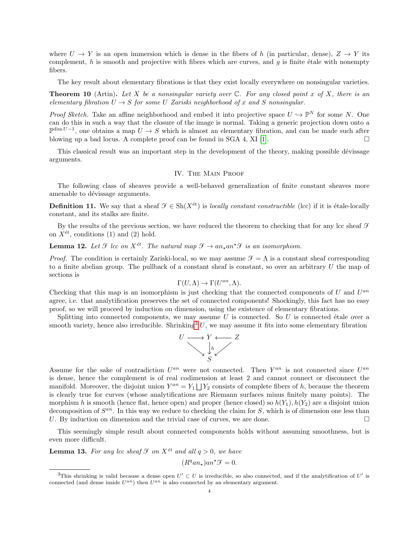where  $U \to Y$  is an open immersion which is dense in the fibers of h (in particular, dense),  $Z \to Y$  its complement, h is smooth and projective with fibers which are curves, and q is finite étale with nonempty fibers.

The key result about elementary fibrations is that they exist locally everywhere on nonsingular varieties.

**Theorem 10** (Artin). Let X be a nonsingular variety over  $\mathbb{C}$ . For any closed point x of X, there is an elementary fibration  $U \rightarrow S$  for some U Zariski neighborhood of x and S nonsingular.

*Proof Sketch.* Take an affine neighborhood and embed it into projective space  $U \hookrightarrow \mathbb{P}^N$  for some N. One can do this in such a way that the closure of the image is normal. Taking a generic projection down onto a  $\mathbb{P}^{\dim U-1}$ , one obtains a map  $U \to S$  which is almost an elementary fibration, and can be made such after blowing up a bad locus. A complete proof can be found in  $SGA$  4,  $XI$  [\[1\]](#page-5-5).

This classical result was an important step in the development of the theory, making possible dévissage arguments.

## IV. The Main Proof

The following class of sheaves provide a well-behaved generalization of finite constant sheaves more amenable to dévissage arguments.

**Definition 11.** We say that a sheaf  $\mathcal{F} \in Sh(X^{\text{\'et}})$  is *locally constant constructible* (lcc) if it is étale-locally constant, and its stalks are finite.

By the results of the previous section, we have reduced the theorem to checking that for any lcc sheaf  $\mathcal F$ on  $X^{\text{\'et}}$ , conditions (1) and (2) hold.

**Lemma 12.** Let  $\mathcal{F}$  lcc on  $X^{\acute{e}t}$ . The natural map  $\mathcal{F} \to an_{\star}an^{\star}\mathcal{F}$  is an isomorphism.

*Proof.* The condition is certainly Zariski-local, so we may assume  $\mathcal{F} = \Lambda$  is a constant sheaf corresponding to a finite abelian group. The pullback of a constant sheaf is constant, so over an arbitrary  $U$  the map of sections is

$$
\Gamma(U,\Lambda) \to \Gamma(U^{an},\Lambda).
$$

Checking that this map is an isomorphism is just checking that the connected components of  $U$  and  $U^{an}$ agree, i.e. that analytification preserves the set of connected components! Shockingly, this fact has no easy proof, so we will proceed by induction on dimension, using the existence of elementary fibrations.

Splitting into connected components, we may assume  $U$  is connected. So  $U$  is connected étale over a smooth variety, hence also irreducible. Shrinking<sup>[3](#page-3-0)</sup> U, we may assume it fits into some elementary fibration



Assume for the sake of contradiction  $U^{an}$  were not connected. Then  $Y^{an}$  is not connected since  $U^{an}$ is dense, hence the complement is of real codimension at least 2 and cannot connect or disconnect the manifold. Moreover, the disjoint union  $Y^{an} = Y_1 \bigsqcup Y_2$  consists of complete fibers of h, because the theorem is clearly true for curves (whose analytifications are Riemann surfaces minus finitely many points). The morphism h is smooth (hence flat, hence open) and proper (hence closed) so  $h(Y_1), h(Y_2)$  are a disjoint union decomposition of  $S^{an}$ . In this way we reduce to checking the claim for S, which is of dimension one less than U. By induction on dimension and the trivial case of curves, we are done.  $\Box$ 

This seemingly simple result about connected components holds without assuming smoothness, but is even more difficult.

**Lemma 13.** For any lcc sheaf  $\mathcal F$  on  $X^{\text{\'et}}$  and all  $q > 0$ , we have

$$
(R^q a n_\star) a n^\star \mathcal{F} = 0.
$$

<span id="page-3-0"></span><sup>&</sup>lt;sup>3</sup>This shrinking is valid because a dense open  $U' \subset U$  is irreducible, so also connected, and if the analytification of U' is connected (and dense inside  $U^{an}$ ) then  $U^{an}$  is also connected by an elementary argument.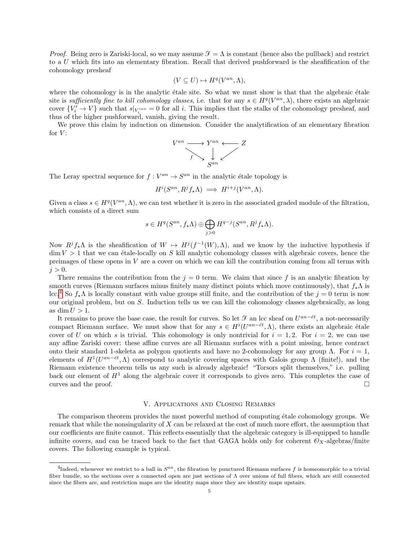*Proof.* Being zero is Zariski-local, so we may assume  $\mathcal{F} = \Lambda$  is constant (hence also the pullback) and restrict to a U which fits into an elementary fibration. Recall that derived pushforward is the sheafification of the cohomology presheaf

$$
(V \subseteq U) \mapsto H^q(V^{an}, \Lambda),
$$

where the cohomology is in the analytic étale site. So what we must show is that that the algebraic étale site is sufficiently fine to kill cohomology classes, i.e. that for any  $s \in H^q(V^{an}, \lambda)$ , there exists an algebraic cover  ${V'_{i} \to V}$  such that  $s|_{V'_{i}} = 0$  for all i. This implies that the stalks of the cohomology presheaf, and thus of the higher pushforward, vanish, giving the result.

We prove this claim by induction on dimension. Consider the analytification of an elementary fibration for  $V$ :

$$
V^{an} \longrightarrow Y^{an} \longleftarrow Z
$$
  
 $f \longrightarrow \bigcup_{S^{an}} Z$ 

The Leray spectral sequence for  $f: V^{an} \to S^{an}$  in the analytic étale topology is

$$
H^i(S^{an}, R^j f_* \Lambda) \implies H^{i+j}(V^{an}, \Lambda).
$$

Given a class  $s \in H^q(V^{an}, \Lambda)$ , we can test whether it is zero in the associated graded module of the filtration, which consists of a direct sum

$$
s \in H^q(S^{an}, f_* \Lambda) \oplus \bigoplus_{j>0} H^{q-j}(S^{an}, R^j f_* \Lambda).
$$

Now  $R^jf_*\Lambda$  is the sheafification of  $W \mapsto H^j(f^{-1}(W),\Lambda)$ , and we know by the inductive hypothesis if  $\dim V > 1$  that we can étale-locally on S kill analytic cohomology classes with algebraic covers, hence the preimages of these opens in  $V$  are a cover on which we can kill the contribution coming from all terms with  $j > 0$ .

There remains the contribution from the  $j = 0$  term. We claim that since f is an analytic fibration by smooth curves (Riemann surfaces minus finitely many distinct points which move continuously), that  $f_{\star}\Lambda$  is lcc.<sup>[4](#page-4-0)</sup> So  $f_{\star}$ Λ is locally constant with value groups still finite, and the contribution of the  $j = 0$  term is now our original problem, but on S. Induction tells us we can kill the cohomology classes algebraically, as long as dim  $U > 1$ .

It remains to prove the base case, the result for curves. So let  $\mathcal F$  an lcc sheaf on  $U^{an-\'et}$ , a not-necessarily compact Riemann surface. We must show that for any  $s \in H^{i}(U^{an-\'{e}t}, \Lambda)$ , there exists an algebraic étale cover of U on which s is trivial. This cohomology is only nontrivial for  $i = 1, 2$ . For  $i = 2$ , we can use any affine Zariski cover: these affine curves are all Riemann surfaces with a point missing, hence contract onto their standard 1-skeleta as polygon quotients and have no 2-cohomology for any group Λ. For  $i = 1$ , elements of  $H^1(U^{an-\'et}, \Lambda)$  correspond to analytic covering spaces with Galois group  $\Lambda$  (finite!), and the Riemann existence theorem tells us any such is already algebraic! "Torsors split themselves," i.e. pulling back our element of  $H<sup>1</sup>$  along the algebraic cover it corresponds to gives zero. This completes the case of curves and the proof.  $\Box$ 

#### V. Applications and Closing Remarks

The comparison theorem provides the most powerful method of computing étale cohomology groups. We remark that while the nonsingularity of X can be relaxed at the cost of much more effort, the assumption that our coefficients are finite cannot. This reflects essentially that the algebraic category is ill-equipped to handle infinite covers, and can be traced back to the fact that GAGA holds only for coherent  $\mathcal{O}_X$ -algebras/finite covers. The following example is typical.

<span id="page-4-0"></span><sup>&</sup>lt;sup>4</sup>Indeed, whenever we restrict to a ball in  $S^{an}$ , the fibration by punctured Riemann surfaces f is homeomorphic to a trivial fiber bundle, so the sections over a connected open are just sections of Λ over unions of full fibers, which are still connected since the fibers are, and restriction maps are the identity maps since they are identity maps upstairs.